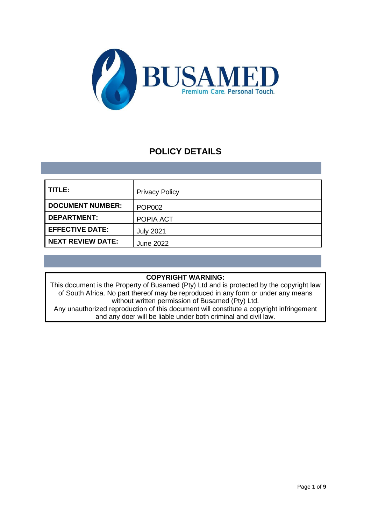

# **POLICY DETAILS**

| TITLE:                   | <b>Privacy Policy</b> |
|--------------------------|-----------------------|
| <b>DOCUMENT NUMBER:</b>  | <b>POP002</b>         |
| <b>DEPARTMENT:</b>       | POPIA ACT             |
| <b>EFFECTIVE DATE:</b>   | <b>July 2021</b>      |
| <b>NEXT REVIEW DATE:</b> | <b>June 2022</b>      |

# **COPYRIGHT WARNING:**

This document is the Property of Busamed (Pty) Ltd and is protected by the copyright law of South Africa. No part thereof may be reproduced in any form or under any means without written permission of Busamed (Pty) Ltd.

Any unauthorized reproduction of this document will constitute a copyright infringement and any doer will be liable under both criminal and civil law.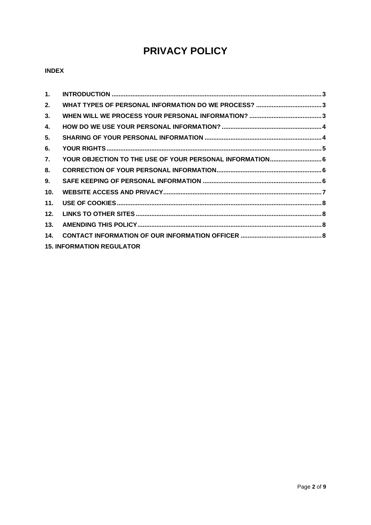# **PRIVACY POLICY**

# **INDEX**

| $\mathbf{1}$ .  |                                  |  |
|-----------------|----------------------------------|--|
| 2.              |                                  |  |
| 3.              |                                  |  |
| 4.              |                                  |  |
| 5.              |                                  |  |
| 6.              |                                  |  |
| 7.              |                                  |  |
| 8.              |                                  |  |
| 9.              |                                  |  |
| 10 <sub>1</sub> |                                  |  |
| 11.             |                                  |  |
| 12.             |                                  |  |
| 13.             |                                  |  |
| 14.             |                                  |  |
|                 | <b>15. INFORMATION REGULATOR</b> |  |
|                 |                                  |  |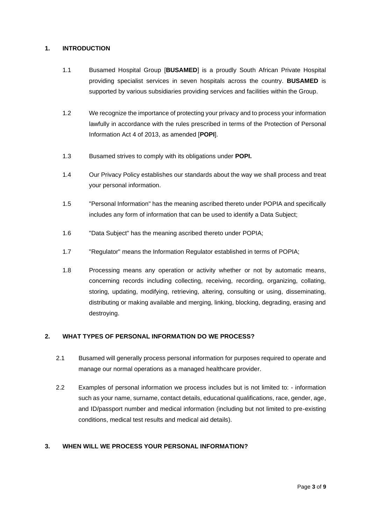## <span id="page-2-0"></span>**1. INTRODUCTION**

- 1.1 Busamed Hospital Group [**BUSAMED**] is a proudly South African Private Hospital providing specialist services in seven hospitals across the country. **BUSAMED** is supported by various subsidiaries providing services and facilities within the Group.
- 1.2 We recognize the importance of protecting your privacy and to process your information lawfully in accordance with the rules prescribed in terms of the Protection of Personal Information Act 4 of 2013, as amended [**POPI**].
- 1.3 Busamed strives to comply with its obligations under **POPI.**
- 1.4 Our Privacy Policy establishes our standards about the way we shall process and treat your personal information.
- 1.5 "Personal Information" has the meaning ascribed thereto under POPIA and specifically includes any form of information that can be used to identify a Data Subject;
- 1.6 "Data Subject" has the meaning ascribed thereto under POPIA;
- 1.7 "Regulator" means the Information Regulator established in terms of POPIA;
- 1.8 Processing means any operation or activity whether or not by automatic means, concerning records including collecting, receiving, recording, organizing, collating, storing, updating, modifying, retrieving, altering, consulting or using, disseminating, distributing or making available and merging, linking, blocking, degrading, erasing and destroying.

#### <span id="page-2-1"></span>**2. WHAT TYPES OF PERSONAL INFORMATION DO WE PROCESS?**

- 2.1 Busamed will generally process personal information for purposes required to operate and manage our normal operations as a managed healthcare provider.
- 2.2 Examples of personal information we process includes but is not limited to: information such as your name, surname, contact details, educational qualifications, race, gender, age, and ID/passport number and medical information (including but not limited to pre-existing conditions, medical test results and medical aid details).

# <span id="page-2-2"></span>**3. WHEN WILL WE PROCESS YOUR PERSONAL INFORMATION?**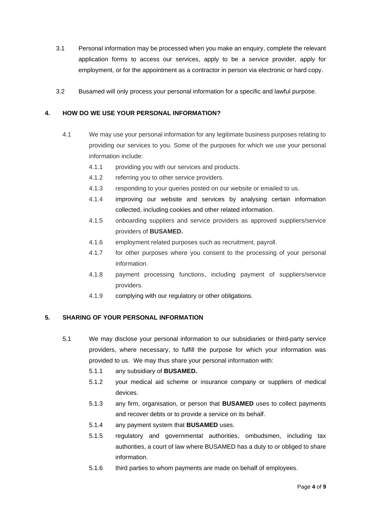- 3.1 Personal information may be processed when you make an enquiry, complete the relevant application forms to access our services, apply to be a service provider, apply for employment, or for the appointment as a contractor in person via electronic or hard copy.
- 3.2 Busamed will only process your personal information for a specific and lawful purpose.

## <span id="page-3-0"></span>**4. HOW DO WE USE YOUR PERSONAL INFORMATION?**

- 4.1 We may use your personal information for any legitimate business purposes relating to providing our services to you. Some of the purposes for which we use your personal information include:
	- 4.1.1 providing you with our services and products.
	- 4.1.2 referring you to other service providers.
	- 4.1.3 responding to your queries posted on our website or emailed to us.
	- 4.1.4 improving our website and services by analysing certain information collected, including cookies and other related information.
	- 4.1.5 onboarding suppliers and service providers as approved suppliers/service providers of **BUSAMED.**
	- 4.1.6 employment related purposes such as recruitment, payroll.
	- 4.1.7 for other purposes where you consent to the processing of your personal information.
	- 4.1.8 payment processing functions, including payment of suppliers/service providers.
	- 4.1.9 complying with our regulatory or other obligations.

# <span id="page-3-1"></span>**5. SHARING OF YOUR PERSONAL INFORMATION**

- 5.1 We may disclose your personal information to our subsidiaries or third-party service providers, where necessary, to fulfill the purpose for which your information was provided to us. We may thus share your personal information with:
	- 5.1.1 any subsidiary of **BUSAMED.**
	- 5.1.2 your medical aid scheme or insurance company or suppliers of medical devices.
	- 5.1.3 any firm, organisation, or person that **BUSAMED** uses to collect payments and recover debts or to provide a service on its behalf.
	- 5.1.4 any payment system that **BUSAMED** uses.
	- 5.1.5 regulatory and governmental authorities, ombudsmen, including tax authorities, a court of law where BUSAMED has a duty to or obliged to share information.
	- 5.1.6 third parties to whom payments are made on behalf of employees.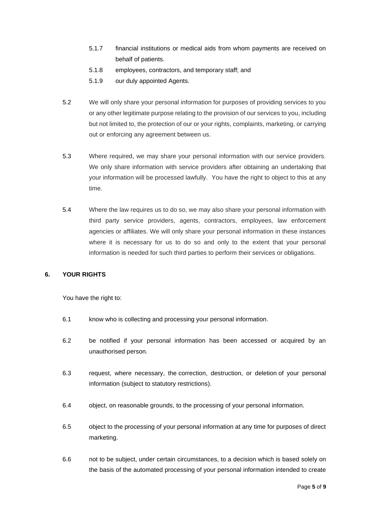- 5.1.7 financial institutions or medical aids from whom payments are received on behalf of patients.
- 5.1.8 employees, contractors, and temporary staff; and
- 5.1.9 our duly appointed Agents.
- 5.2 We will only share your personal information for purposes of providing services to you or any other legitimate purpose relating to the provision of our services to you, including but not limited to, the protection of our or your rights, complaints, marketing, or carrying out or enforcing any agreement between us.
- 5.3 Where required, we may share your personal information with our service providers. We only share information with service providers after obtaining an undertaking that your information will be processed lawfully. You have the right to object to this at any time.
- 5.4 Where the law requires us to do so, we may also share your personal information with third party service providers, agents, contractors, employees, law enforcement agencies or affiliates. We will only share your personal information in these instances where it is necessary for us to do so and only to the extent that your personal information is needed for such third parties to perform their services or obligations.

#### <span id="page-4-0"></span>**6. YOUR RIGHTS**

You have the right to:

- 6.1 know who is collecting and processing your personal information.
- 6.2 be notified if your personal information has been accessed or acquired by an unauthorised [person.](https://popia.co.za/section-1-definitions/)
- 6.3 request, where necessary, the correction, [destruction,](https://popia.co.za/section-24-correction-of-personal-information/) or deletion of your personal information (subject to statutory restrictions).
- 6.4 [object,](https://popia.co.za/section-11-consent-justification-and-objection/) on reasonable grounds, to the processing of your personal information.
- 6.5 object to the processing of your personal information at any time for purposes of direct marketing.
- 6.6 not to be subject, under certain circumstances, to a [decision](https://popia.co.za/section-71-automated-decision-making/) which is based solely on the basis of the automated [processing](https://popia.co.za/section-71-automated-decision-making/) of your personal information intended to create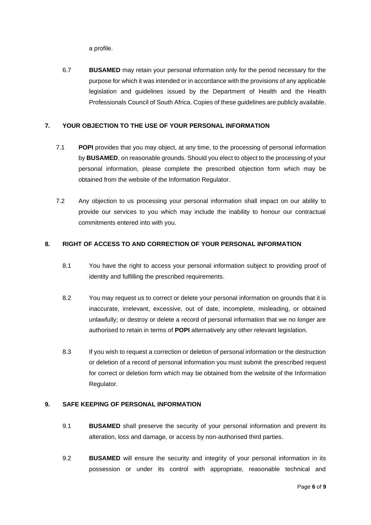a profile.

6.7 **BUSAMED** may retain your personal information only for the period necessary for the purpose for which it was intended or in accordance with the provisions of any applicable legislation and guidelines issued by the Department of Health and the Health Professionals Council of South Africa. Copies of these guidelines are publicly available.

#### <span id="page-5-0"></span>**7. YOUR OBJECTION TO THE USE OF YOUR PERSONAL INFORMATION**

- 7.1 **POPI** provides that you may object, at any time, to the processing of personal information by **BUSAMED**, on reasonable grounds. Should you elect to object to the processing of your personal information, please complete the prescribed objection form which may be obtained from the website of the Information Regulator.
- 7.2 Any objection to us processing your personal information shall impact on our ability to provide our services to you which may include the inability to honour our contractual commitments entered into with you.

#### <span id="page-5-1"></span>**8. RIGHT OF ACCESS TO AND CORRECTION OF YOUR PERSONAL INFORMATION**

- 8.1 You have the right to access your personal information subject to providing proof of identity and fulfilling the prescribed requirements.
- 8.2 You may request us to correct or delete your personal information on grounds that it is inaccurate, irrelevant, excessive, out of date, incomplete, misleading, or obtained unlawfully; or destroy or delete a record of personal information that we no longer are authorised to retain in terms of **POPI** alternatively any other relevant legislation.
- 8.3 If you wish to request a correction or deletion of personal information or the destruction or deletion of a record of personal information you must submit the prescribed request for correct or deletion form which may be obtained from the website of the Information Regulator.

#### <span id="page-5-2"></span>**9. SAFE KEEPING OF PERSONAL INFORMATION**

- 9.1 **BUSAMED** shall preserve the security of your personal information and prevent its alteration, loss and damage, or access by non-authorised third parties.
- 9.2 **BUSAMED** will ensure the security and integrity of your personal information in its possession or under its control with appropriate, reasonable technical and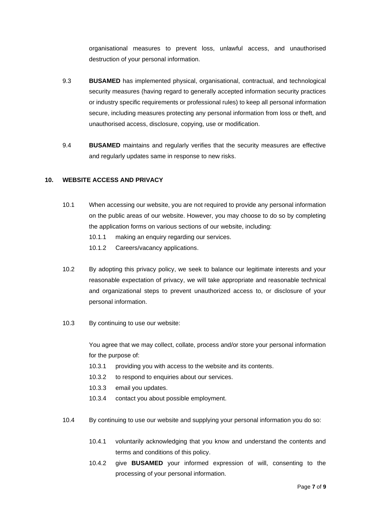organisational measures to prevent loss, unlawful access, and unauthorised destruction of your personal information.

- 9.3 **BUSAMED** has implemented physical, organisational, contractual, and technological security measures (having regard to generally accepted information security practices or industry specific requirements or professional rules) to keep all personal information secure, including measures protecting any personal information from loss or theft, and unauthorised access, disclosure, copying, use or modification.
- 9.4 **BUSAMED** maintains and regularly verifies that the security measures are effective and regularly updates same in response to new risks.

#### <span id="page-6-0"></span>**10. WEBSITE ACCESS AND PRIVACY**

- 10.1 When accessing our website, you are not required to provide any personal information on the public areas of our website. However, you may choose to do so by completing the application forms on various sections of our website, including:
	- 10.1.1 making an enquiry regarding our services.
	- 10.1.2 Careers/vacancy applications.
- 10.2 By adopting this privacy policy, we seek to balance our legitimate interests and your reasonable expectation of privacy, we will take appropriate and reasonable technical and organizational steps to prevent unauthorized access to, or disclosure of your personal information.
- 10.3 By continuing to use our website:

You agree that we may collect, collate, process and/or store your personal information for the purpose of:

- 10.3.1 providing you with access to the website and its contents.
- 10.3.2 to respond to enquiries about our services.
- 10.3.3 email you updates.
- 10.3.4 contact you about possible employment.
- 10.4 By continuing to use our website and supplying your personal information you do so:
	- 10.4.1 voluntarily acknowledging that you know and understand the contents and terms and conditions of this policy.
	- 10.4.2 give **BUSAMED** your informed expression of will, consenting to the processing of your personal information.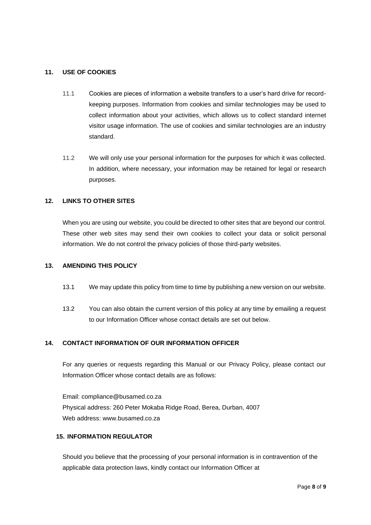#### <span id="page-7-0"></span>**11. USE OF COOKIES**

- 11.1 Cookies are pieces of information a website transfers to a user's hard drive for recordkeeping purposes. Information from cookies and similar technologies may be used to collect information about your activities, which allows us to collect standard internet visitor usage information. The use of cookies and similar technologies are an industry standard.
- 11.2 We will only use your personal information for the purposes for which it was collected. In addition, where necessary, your information may be retained for legal or research purposes.

#### <span id="page-7-1"></span>**12. LINKS TO OTHER SITES**

When you are using our website, you could be directed to other sites that are beyond our control. These other web sites may send their own cookies to collect your data or solicit personal information. We do not control the privacy policies of those third-party websites.

#### <span id="page-7-2"></span>**13. AMENDING THIS POLICY**

- 13.1 We may update this policy from time to time by publishing a new version on our website.
- 13.2 You can also obtain the current version of this policy at any time by emailing a request to our Information Officer whose contact details are set out below.

#### <span id="page-7-3"></span>**14. CONTACT INFORMATION OF OUR INFORMATION OFFICER**

For any queries or requests regarding this Manual or our Privacy Policy, please contact our Information Officer whose contact details are as follows:

Email: compliance@busamed.co.za Physical address: 260 Peter Mokaba Ridge Road, Berea, Durban, 4007 Web address: www.busamed.co.za

#### **15. INFORMATION REGULATOR**

Should you believe that the processing of your personal information is in contravention of the applicable data protection laws, kindly contact our Information Officer at